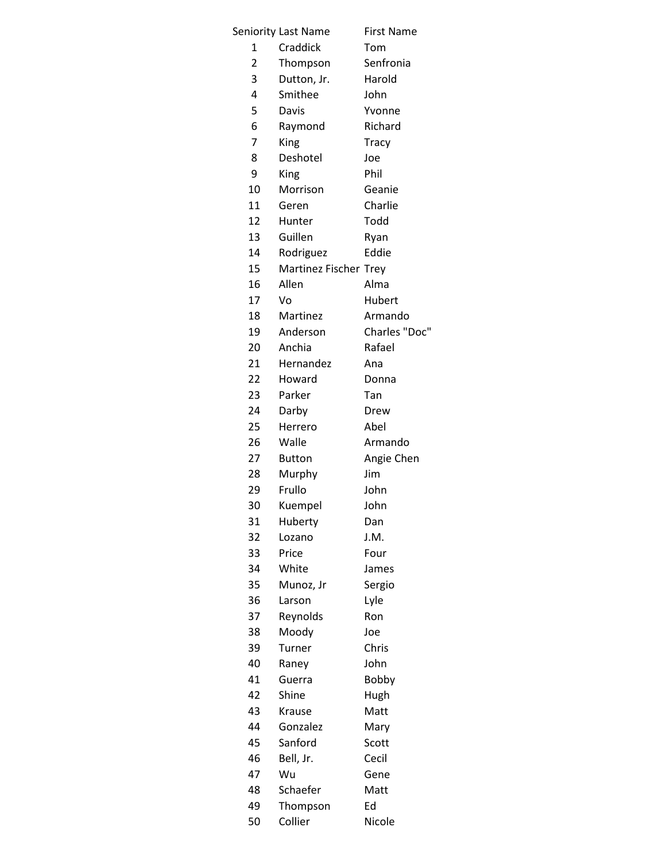|              | Seniority Last Name   | <b>First Name</b> |
|--------------|-----------------------|-------------------|
| $\mathbf{1}$ | Craddick              | Tom               |
| 2            | Thompson              | Senfronia         |
| 3            | Dutton, Jr.           | Harold            |
| 4            | Smithee               | John              |
| 5            | Davis                 | Yvonne            |
| 6            | Raymond               | Richard           |
| 7            | King                  | <b>Tracy</b>      |
| 8            | Deshotel              | Joe               |
| 9            | King                  | Phil              |
| 10           | Morrison              | Geanie            |
| 11           | Geren                 | Charlie           |
| 12           | Hunter                | Todd              |
| 13           | Guillen               | Ryan              |
| 14           | Rodriguez             | Eddie             |
| 15           | Martinez Fischer Trey |                   |
| 16           | Allen                 | Alma              |
| 17           | Vo                    | Hubert            |
| 18           | Martinez              | Armando           |
| 19           | Anderson              | Charles "Doc"     |
| 20           | Anchia                | Rafael            |
|              |                       |                   |
| 21           | Hernandez             | Ana               |
| 22           | Howard                | Donna             |
| 23           | Parker                | Tan               |
| 24           | Darby                 | Drew              |
| 25           | Herrero               | Abel              |
| 26           | Walle                 | Armando           |
| 27           | <b>Button</b>         | Angie Chen        |
| 28           | Murphy                | Jim               |
| 29           | Frullo                | John              |
| 30           | Kuempel               | John              |
| 31           | Huberty               | Dan               |
| 32           | Lozano                | J.M.              |
| 33           | Price                 | Four              |
| 34           | White                 | James             |
| 35           | Munoz, Jr             | Sergio            |
| 36           | Larson                | Lyle              |
| 37           | Reynolds              | Ron               |
| 38           | Moody                 | Joe               |
| 39           | Turner                | Chris             |
| 40           | Raney                 | John              |
| 41           | Guerra                | Bobby             |
| 42           | Shine                 | Hugh              |
| 43           | Krause                | Matt              |
| 44           | Gonzalez              | Mary              |
| 45           | Sanford               | Scott             |
| 46           | Bell, Jr.             | Cecil             |
| 47           | Wu                    | Gene              |
| 48           | Schaefer              | Matt              |
| 49           | Thompson              | Ed                |
| 50           | Collier               | Nicole            |
|              |                       |                   |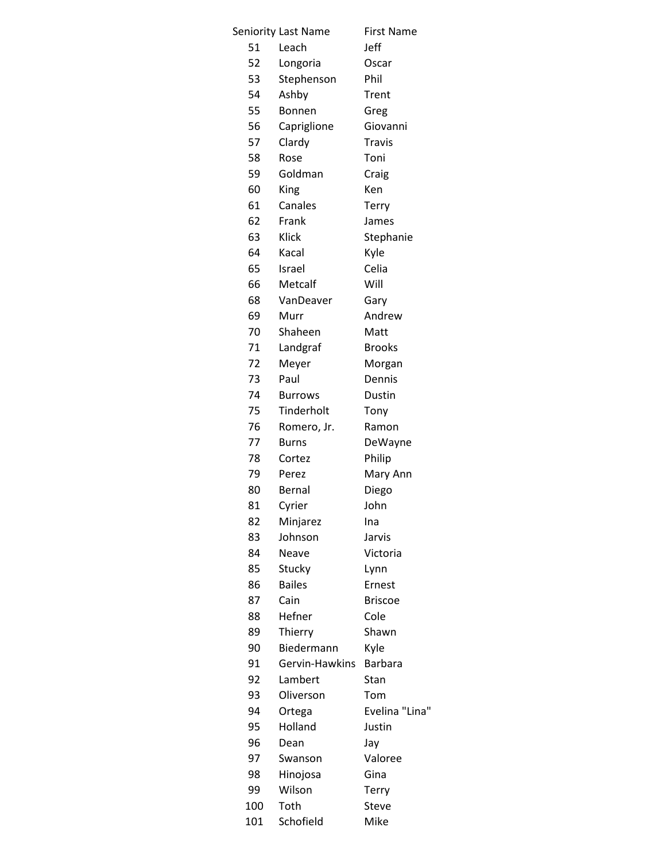|     | Seniority Last Name | <b>First Name</b> |
|-----|---------------------|-------------------|
| 51  | Leach               | Jeff              |
| 52  | Longoria            | Oscar             |
| 53  | Stephenson          | Phil              |
| 54  | Ashby               | Trent             |
| 55  | Bonnen              | Greg              |
| 56  | Capriglione         | Giovanni          |
| 57  | Clardy              | <b>Travis</b>     |
| 58  | Rose                | Toni              |
| 59  | Goldman             | Craig             |
| 60  | King                | Ken               |
| 61  | Canales             | Terry             |
| 62  | Frank               | James             |
| 63  | Klick               | Stephanie         |
| 64  | Kacal               | Kyle              |
| 65  | Israel              | Celia             |
| 66  | Metcalf             | Will              |
| 68  | VanDeaver           | Gary              |
| 69  | Murr                | Andrew            |
| 70  | Shaheen             | Matt              |
| 71  | Landgraf            | <b>Brooks</b>     |
| 72  |                     |                   |
| 73  | Meyer<br>Paul       | Morgan<br>Dennis  |
| 74  |                     |                   |
|     | <b>Burrows</b>      | Dustin            |
| 75  | Tinderholt          | Tony              |
| 76  | Romero, Jr.         | Ramon             |
| 77  | <b>Burns</b>        | DeWayne           |
| 78  | Cortez              | Philip            |
| 79  | Perez               | Mary Ann          |
| 80  | Bernal              | Diego             |
| 81  | Cyrier              | John              |
| 82  | Minjarez            | Ina               |
| 83  | Johnson             | Jarvis            |
| 84  | Neave               | Victoria          |
| 85  | Stucky              | Lynn              |
| 86  | <b>Bailes</b>       | Ernest            |
| 87  | Cain                | <b>Briscoe</b>    |
| 88  | Hefner              | Cole              |
| 89  | Thierry             | Shawn             |
| 90  | Biedermann          | Kyle              |
| 91  | Gervin-Hawkins      | <b>Barbara</b>    |
| 92  | Lambert             | Stan              |
| 93  | Oliverson           | Tom               |
| 94  | Ortega              | Evelina "Lina"    |
| 95  | Holland             | Justin            |
| 96  | Dean                | Jay               |
| 97  | Swanson             | Valoree           |
| 98  | Hinojosa            | Gina              |
| 99  | Wilson              | <b>Terry</b>      |
| 100 | Toth                | <b>Steve</b>      |
| 101 | Schofield           | Mike              |
|     |                     |                   |